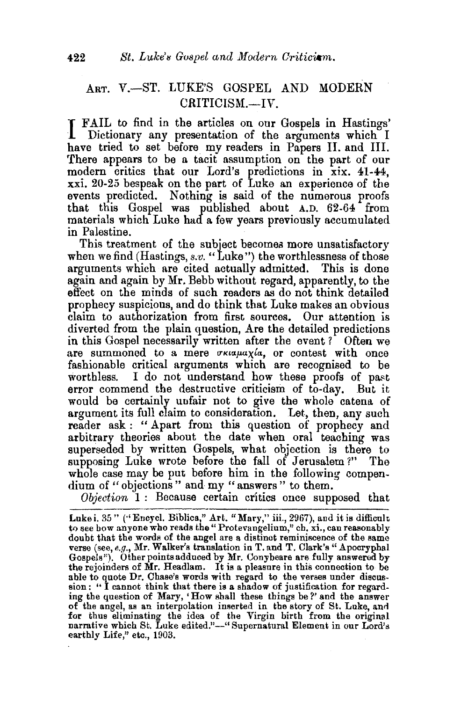## ART. V.-ST. LUKE'S GOSPEL AND MODERN CRITICISM.-IV.

I FAIL to find in the articles on our Gospels in Hastings' Dictionary any presentation of the arguments which I have tried to set before my readers in Papers II. and III. There appears to be a tacit assumption on the part of our modern critics that our Lord's predictions in xix. 41-44, xxi. 20-25 bespeak on the part of Luke an experience of the events predicted. Nothing is said of the numerous proofs that this Gospel was published about A.D. 62-64 from materials which Luke had a few years previously accumulated in Palestine.

This treatment of the subject becomes more unsatisfactory when we find (Hastings, *s.v.* "Luke") the worthlessness of those arguments which are cited actually admitted. This is done again and again by Mr. Bebb without regard, apparently, to the effect on the minds of such readers as do not think detailed prophecy suspicious, and do think that Luke makes an obvious claim to authorization from first sources. Our attention is diverted from the plain question, Are the detailed predictions in this Gospel necessarily written after the event ? Often we are summoned to a mere *oxiapaxia*, or contest with once fashionable critical arguments which are recognised to be worthless. I do not understand how these proofs of past error commend the destructive criticism of to-day. But it would be certainly unfair not to give the whole catena of argument its full claim to consideration. Let, then, any such reader ask : " Apart from this question of prophecy and arbitrary theories about the date when oral teaching was superseded by written Gospels, what objection is there to supposing Luke wrote before the fall of Jerusalem ?" The whole case may be put before him in the following compendium of "objections" and my "answers" to them.

*Objection* 1 : Because certain critics once supposed that

Luke i. 35" ("Encycl. Biblica," Art. "Mary," iii., 2967), and it is difficult to see how anyone who reads the "Protevangelium," ch. xi., can reasonably doubt that the words of the angel are a distinct reminiscence of the same verse (see, *e.g.*, Mr. Walker's translation in T. and T. Clark's "Apocryphal Gospels"). Other points adduced by Mr. Conybeare are fully answered by the rejoinders of Mr. Headlam. It is a pleasure in this connection to be able to quote Dr. Chase's words with regard to the verses under discussion: "I cannot think that there is a shadow of justification for regarding the question of Mary, 'How shall these things be?' and the answer of the angel, as an interpolation inserted in the story of St. Luke, an<! for thus eliminating the idea of the Virgin birth from the original narrative which St. Luke edited."-" Supernatural Element in our Lord's earthly Life," etc., 1903.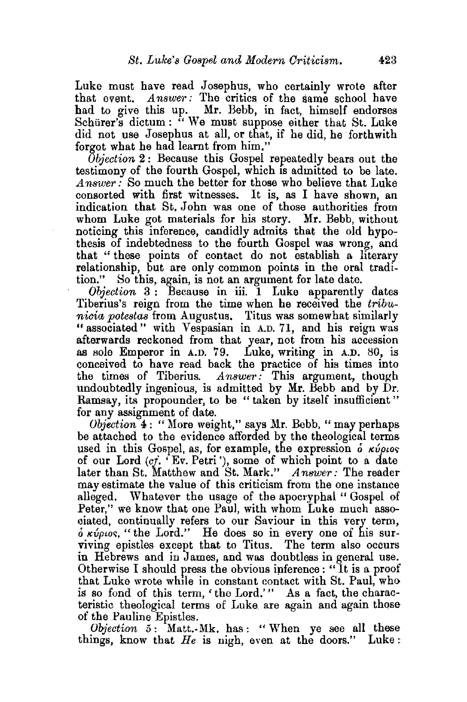Luke must have read Josephus, who certainly wrote after that event. Answer: The critics of the same school have had to give this up. Mr. Bebb, in fact, himself endorses Schürer's dictum : " We must suppose either that St. Luke did not use Josephus at all, or that, if he did, he forthwith forgot what he had learnt from him."

*Objection* 2: Because this Gospel repeatedly bears out the testimony of the fourth Gospel, which is admitted to be late.  $Answer:$  So much the better for those who believe that Luke consorted with first witnesses. It is, as I have shown, an indication that St. John was one of those authorities from whom Luke got materials for his story. Mr. Bebb, without noticing this inference, candidly admits that the old hypothesis of indebtedness to the fourth Gospel was wrong, and that " these points of contact do not establish a. literary relationship, but are only common points in the oral tradition." 8o this, again, is not an argument for late date.

*Objection* 3 : Because in iii. 1 Luke apparently dates Tiberius's reign from the time when he received the *tribunieia potestas* from Augustus, Titus was somewhat similarly " associated " with Vespasian in A.D. 71, and his reign was afterwards reckoned from that year, not from his accession as sole Emperor in A.D. 79. Luke, writing in A.D. 80, is conceived to have read back the practice of his times into the times of Tiberius. *Answer:* This argument, though undoubtedly ingenious, is admitted by Mr. Bebb and by Dr. Ramsay, its propounder, to be "taken by itself insufficient" for any assignment of date.

*Objection* 4: "More weight," says Mr. Bebb, "may perhaps be attached to the evidence afforded by the theological terms used in this Gospel, as, for example, the expression  $\delta$   $\kappa \nu \rho \nu \sigma$ of our Lord  $(c_j$ . 'Ev. Petri'), some of which point to a date later than St. Matthew and St. Mark." Answer: The reader may estimate the value of this criticism from the one instance alleged. Whatever the usage of the apocryphal " Gospel of Peter," we know that one Paul, with whom Luke much associated, continually refers to our Saviour in this very term,  $\delta$   $\kappa \omega \rho \iota \omega \rho$ , "the Lord." He does so in every one of his surviving epistles except that to Titus. The term also occurs in Hebrews and in James, and was doubtless in general use. Otherwise I should press the obvious inference : "It is a proof that Luke wrote while in constant contact with St. Paul, who is so fond of this term, 'the Lord.'" As a fact, the characteristic theological terms of Luke. are again and again those of the Pauline Epistles.

*Objection* 5: Matt.-Mk. has: "When ye see all these things, know that *He* is nigh, even at the doors." Luke: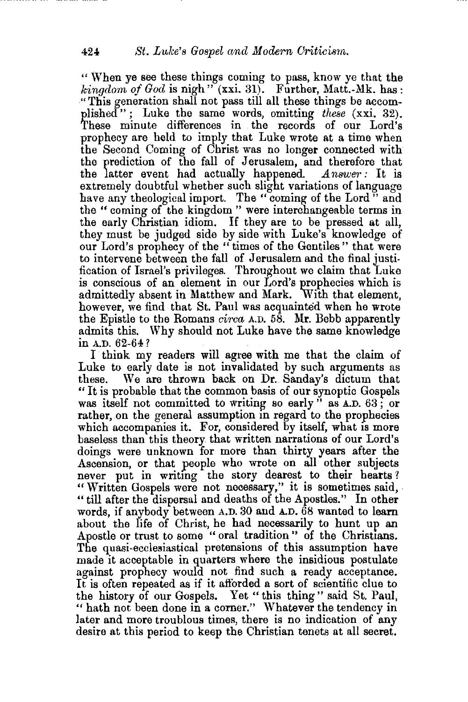" When ye see these things coming to pass, know ye that the  $\boldsymbol{k}$ *ingdom of God* is nigh  $\boldsymbol{r}$ <sup>"</sup> (xxi. 31). Further, Matt.-Mk. has: "This generation shall not pass till all these things be accomplished"; Luke the same words, omitting *these* (xxi. 32). These minute differences in the records of our Lord's prophecy are held to imply that Luke wrote at a time when the Second Coming of Christ was no longer connected with the prediction of the fall of Jerusalem, and therefore that the latter event had actually happened. *.Answer:* It is extremely doubtful whether such slight variations of language have any theological import. The "coming of the Lord" and the " coming of the kingdom " were interchangeable terms in the early Christian idiom. If they are to be pressed at all, they must be judged side by side with Luke's knowledge of our Lord's prophecy of the " times of the Gentiles" that were to intervene between the fall of Jerusalem and the final justification of Israel's privileges. Throughout we claim that Luke is conscious of an element in our Lord's prophecies which is admittedly absent in Matthew and Mark. With that element, however, we find that St. Paul was acquainted when he wrote the Epistle to the Romans *circa* A.D. 58. Mr. Bebb apparently admits this. Why should not Luke have the same knowledge in A.D. 62-64 ?

I think my readers will agree with me that the claim of Luke to early date is not invalidated by such arguments as these. We are thrown back on Dr. Sanday's dictum that " It is probable that the common basis of our synoptic Gospel~ was itself not committed to writing so early  $\ddot{ }$  as  $\dot{A}$ .D. 63; or rather, on the general assumption in regard to the prophecies which accompanies it. For, considered by itself, what is more baseless than this theory that written narrations of our Lord's doings were unknown for more than thirty years after the Ascension, or that people who wrote on all other subjects never put in writing the story dearest to their hearts? "Written Gospels were not necessary," it is sometimes said. "till after the dispersal and deaths of the Apostles." In other words, if anybody between A.D. 30 and A.D.  $\overline{68}$  wanted to learn about the life of Christ, he had necessarily to hunt up an Apostle or trust to some " oral tradition " of the Christians. The quasi-ecclesiastical pretensions of this assumption have made it acceptable in quarters where the insidious postulate against prophecy would not find such a ready acceptance. It is often repeated as if it afforded a sort of scientific clue to the history of our Gospels. Yet "this thing" said St. Paul, " hath not been done in a corner." Whatever the tendency in later and more troublous times, there is no indication of any desire at this period to keep the Christian tenets at all secret.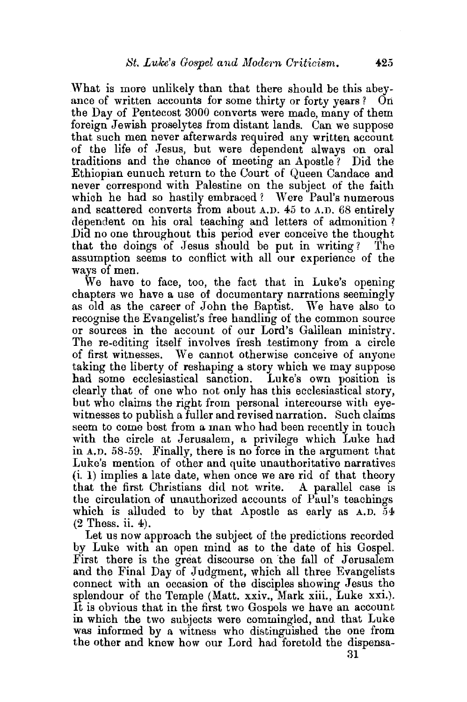What is more unlikely than that there should be this abeyance of written accounts for some thirty or forty years ? On the Day of Pentecost 3000 converts were made, many of them foreign Jewish proselytes from distant lands. Can we suppose that such men never afterwards required any written account of the life of Jesus, but were dependent always on oral traditions and the chance of meeting an Apostle ? Did the Ethiopian eunuch return to the Court of Queen Candace and never correspond with Palestine on the subject of the faith which he had so hastily embraced? Were Paul's numerous and scattered converts from about A.D. 45 to A.D. 68 entirely dependent on his oral teaching and letters of admonition ? Did no one throughout this period ever conceive the thought that the doings of Jesus should be put in writing? The assumption seems to conflict with all our experience of the ways of men.

We have to face, too, the fact that in Luke's opening chapters we have a use of documentary narrations seemingly as old as the career of John the Baptist. We have also to recognise the Evangelist's free handling of the common source or sources in the account of our Lord's Galilean ministry. The re-editing itself involves fresh testimony from a circle of first witnesses. We cannot otherwise conceive of anyone taking the liberty of reshaping a story which we may suppose had some ecclesiastical sanction. Luke's own position is clearly that of one who not only has this ecclesiastical story, but who claims the right from personal intercourse with eyewitnesses to publish a fuller and revised narration. Such claims seem to come best from a man who had been recently in touch with the circle at Jerusalem, a privilege which Luke had in A.D. 58-59. Finally, there is no force in the argument that Luke's mention of other and quite unauthoritative narratives (i. 1) implies a late date, when once we are rid of that theory that the first Christians did not write. A parallel case is the circulation of unauthorized accounts of Paul's teachings which is alluded to by that Apostle as early as  $A.D. 54$ (2 Thess. ii. 4).

Let us now approach the subject of the predictions recorded by Luke with an open mind as to the date of his Gospel. First there is the great discourse on the fall of Jerusalem and the Final Day of Judgment, which all three Evangelists connect with an occasion of the disciples showing Jesus the splendour of the Temple (Matt. xxiv., Mark xiii., Luke xxi.). It is obvious that in the first two Gospels we have an account in which the two subjects were commingled, and. that Luke was informed by a witness who distinguished the one from the other and knew how our Lord had foretold the dispensa